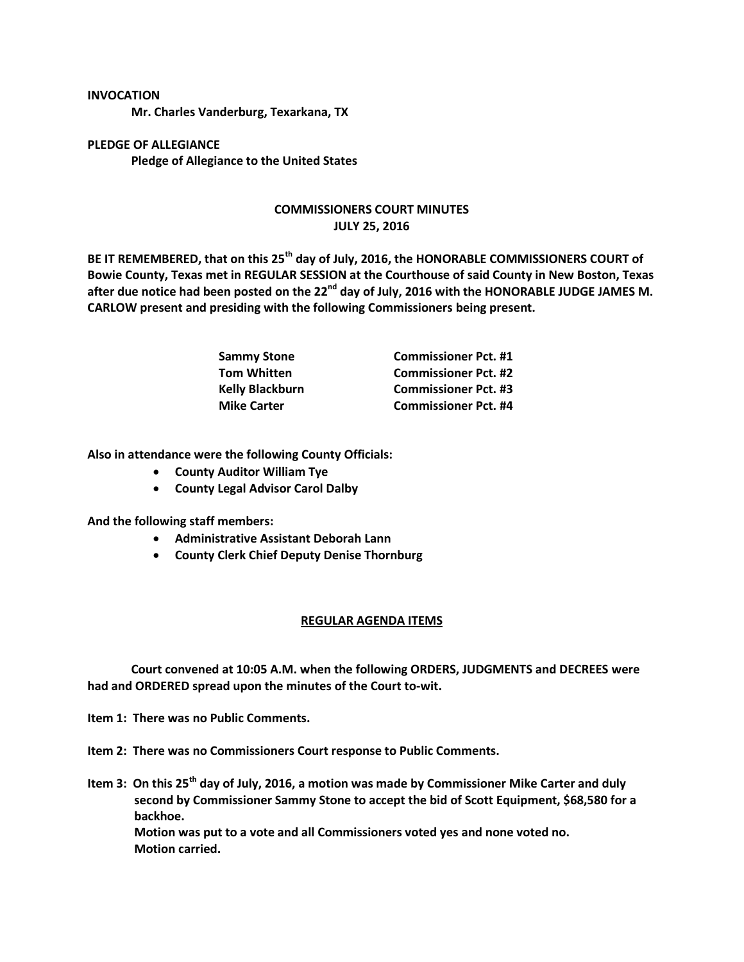## **INVOCATION**

**Mr. Charles Vanderburg, Texarkana, TX**

**PLEDGE OF ALLEGIANCE Pledge of Allegiance to the United States**

## **COMMISSIONERS COURT MINUTES JULY 25, 2016**

**BE IT REMEMBERED, that on this 25th day of July, 2016, the HONORABLE COMMISSIONERS COURT of Bowie County, Texas met in REGULAR SESSION at the Courthouse of said County in New Boston, Texas after due notice had been posted on the 22nd day of July, 2016 with the HONORABLE JUDGE JAMES M. CARLOW present and presiding with the following Commissioners being present.**

| Sammy Stone            | <b>Commissioner Pct. #1</b> |
|------------------------|-----------------------------|
| Tom Whitten            | <b>Commissioner Pct. #2</b> |
| <b>Kelly Blackburn</b> | <b>Commissioner Pct. #3</b> |
| <b>Mike Carter</b>     | <b>Commissioner Pct. #4</b> |

**Also in attendance were the following County Officials:**

- **County Auditor William Tye**
- **County Legal Advisor Carol Dalby**

**And the following staff members:**

- **Administrative Assistant Deborah Lann**
- **County Clerk Chief Deputy Denise Thornburg**

## **REGULAR AGENDA ITEMS**

**Court convened at 10:05 A.M. when the following ORDERS, JUDGMENTS and DECREES were had and ORDERED spread upon the minutes of the Court to-wit.**

**Item 1: There was no Public Comments.**

**Item 2: There was no Commissioners Court response to Public Comments.**

**Item 3: On this 25th day of July, 2016, a motion was made by Commissioner Mike Carter and duly second by Commissioner Sammy Stone to accept the bid of Scott Equipment, \$68,580 for a backhoe.**

**Motion was put to a vote and all Commissioners voted yes and none voted no. Motion carried.**